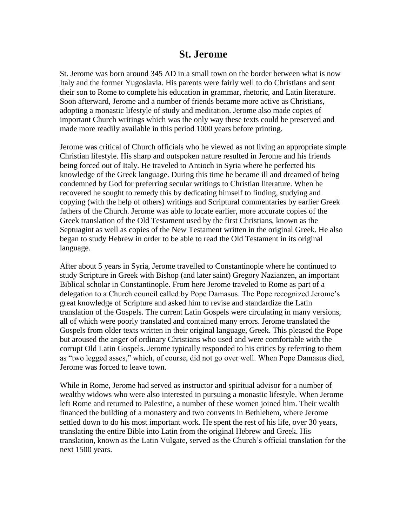## **St. Jerome**

St. Jerome was born around 345 AD in a small town on the border between what is now Italy and the former Yugoslavia. His parents were fairly well to do Christians and sent their son to Rome to complete his education in grammar, rhetoric, and Latin literature. Soon afterward, Jerome and a number of friends became more active as Christians, adopting a monastic lifestyle of study and meditation. Jerome also made copies of important Church writings which was the only way these texts could be preserved and made more readily available in this period 1000 years before printing.

Jerome was critical of Church officials who he viewed as not living an appropriate simple Christian lifestyle. His sharp and outspoken nature resulted in Jerome and his friends being forced out of Italy. He traveled to Antioch in Syria where he perfected his knowledge of the Greek language. During this time he became ill and dreamed of being condemned by God for preferring secular writings to Christian literature. When he recovered he sought to remedy this by dedicating himself to finding, studying and copying (with the help of others) writings and Scriptural commentaries by earlier Greek fathers of the Church. Jerome was able to locate earlier, more accurate copies of the Greek translation of the Old Testament used by the first Christians, known as the Septuagint as well as copies of the New Testament written in the original Greek. He also began to study Hebrew in order to be able to read the Old Testament in its original language.

After about 5 years in Syria, Jerome travelled to Constantinople where he continued to study Scripture in Greek with Bishop (and later saint) Gregory Nazianzen, an important Biblical scholar in Constantinople. From here Jerome traveled to Rome as part of a delegation to a Church council called by Pope Damasus. The Pope recognized Jerome's great knowledge of Scripture and asked him to revise and standardize the Latin translation of the Gospels. The current Latin Gospels were circulating in many versions, all of which were poorly translated and contained many errors. Jerome translated the Gospels from older texts written in their original language, Greek. This pleased the Pope but aroused the anger of ordinary Christians who used and were comfortable with the corrupt Old Latin Gospels. Jerome typically responded to his critics by referring to them as "two legged asses," which, of course, did not go over well. When Pope Damasus died, Jerome was forced to leave town.

While in Rome, Jerome had served as instructor and spiritual advisor for a number of wealthy widows who were also interested in pursuing a monastic lifestyle. When Jerome left Rome and returned to Palestine, a number of these women joined him. Their wealth financed the building of a monastery and two convents in Bethlehem, where Jerome settled down to do his most important work. He spent the rest of his life, over 30 years, translating the entire Bible into Latin from the original Hebrew and Greek. His translation, known as the Latin Vulgate, served as the Church's official translation for the next 1500 years.